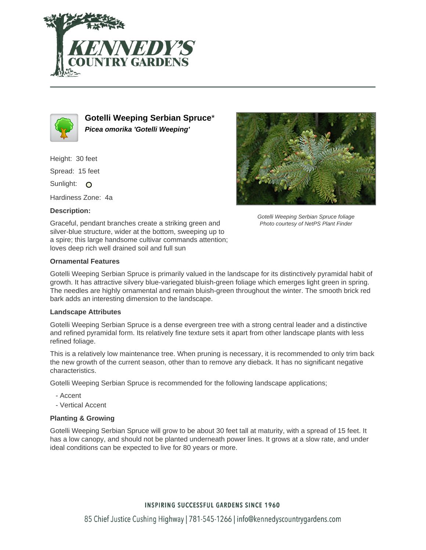



**Gotelli Weeping Serbian Spruce**\* **Picea omorika 'Gotelli Weeping'**

Height: 30 feet

Spread: 15 feet

Sunlight: O

Hardiness Zone: 4a

## **Description:**



Gotelli Weeping Serbian Spruce foliage Photo courtesy of NetPS Plant Finder

Graceful, pendant branches create a striking green and silver-blue structure, wider at the bottom, sweeping up to a spire; this large handsome cultivar commands attention; loves deep rich well drained soil and full sun

## **Ornamental Features**

Gotelli Weeping Serbian Spruce is primarily valued in the landscape for its distinctively pyramidal habit of growth. It has attractive silvery blue-variegated bluish-green foliage which emerges light green in spring. The needles are highly ornamental and remain bluish-green throughout the winter. The smooth brick red bark adds an interesting dimension to the landscape.

### **Landscape Attributes**

Gotelli Weeping Serbian Spruce is a dense evergreen tree with a strong central leader and a distinctive and refined pyramidal form. Its relatively fine texture sets it apart from other landscape plants with less refined foliage.

This is a relatively low maintenance tree. When pruning is necessary, it is recommended to only trim back the new growth of the current season, other than to remove any dieback. It has no significant negative characteristics.

Gotelli Weeping Serbian Spruce is recommended for the following landscape applications;

- Accent
- Vertical Accent

# **Planting & Growing**

Gotelli Weeping Serbian Spruce will grow to be about 30 feet tall at maturity, with a spread of 15 feet. It has a low canopy, and should not be planted underneath power lines. It grows at a slow rate, and under ideal conditions can be expected to live for 80 years or more.

# **INSPIRING SUCCESSFUL GARDENS SINCE 1960**